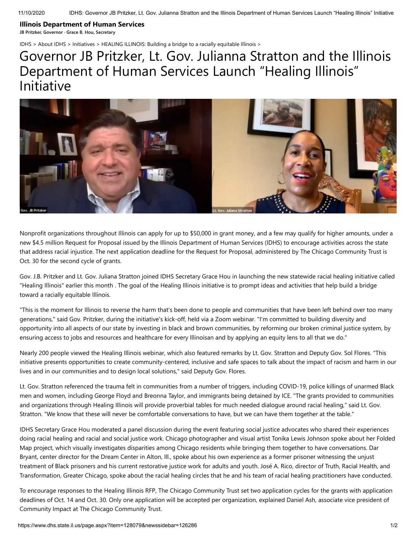## **Illinois Department of Human Services**

**JB Pritzker, Governor · Grace B. Hou, Secretary**

[IDHS](https://www.dhs.state.il.us/page.aspx?item=27893) > [About IDHS](https://www.dhs.state.il.us/page.aspx?item=27897) > [Initiatives](https://www.dhs.state.il.us/page.aspx?item=29754) > [HEALING ILLINOIS: Building a bridge to a racially equitable Illinois](https://www.dhs.state.il.us/page.aspx?item=126286) >

## Governor JB Pritzker, Lt. Gov. Julianna Stratton and the Illinois Department of Human Services Launch "Healing Illinois" Initiative



Nonprofit organizations throughout Illinois can apply for up to \$50,000 in grant money, and a few may qualify for higher amounts, under a new \$4.5 million Request for Proposal issued by the Illinois Department of Human Services (IDHS) to encourage activities across the state that address racial injustice. The next application deadline for the Request for Proposal, administered by The Chicago Community Trust is Oct. 30 for the second cycle of grants.

Gov. J.B. Pritzker and Lt. Gov. Juliana Stratton joined IDHS Secretary Grace Hou in launching the new statewide racial healing initiative called "Healing Illinois" earlier this month . The goal of the Healing Illinois initiative is to prompt ideas and activities that help build a bridge toward a racially equitable Illinois.

"This is the moment for Illinois to reverse the harm that's been done to people and communities that have been left behind over too many generations," said Gov. Pritzker, during the initiative's kick-off, held via a Zoom webinar. "I'm committed to building diversity and opportunity into all aspects of our state by investing in black and brown communities, by reforming our broken criminal justice system, by ensuring access to jobs and resources and healthcare for every Illinoisan and by applying an equity lens to all that we do."

Nearly 200 people viewed the Healing Illinois webinar, which also featured remarks by Lt. Gov. Stratton and Deputy Gov. Sol Flores. "This initiative presents opportunities to create community-centered, inclusive and safe spaces to talk about the impact of racism and harm in our lives and in our communities and to design local solutions," said Deputy Gov. Flores.

Lt. Gov. Stratton referenced the trauma felt in communities from a number of triggers, including COVID-19, police killings of unarmed Black men and women, including George Floyd and Breonna Taylor, and immigrants being detained by ICE. "The grants provided to communities and organizations through Healing Illinois will provide proverbial tables for much needed dialogue around racial healing," said Lt. Gov. Stratton. "We know that these will never be comfortable conversations to have, but we can have them together at the table."

IDHS Secretary Grace Hou moderated a panel discussion during the event featuring social justice advocates who shared their experiences doing racial healing and racial and social justice work. Chicago photographer and visual artist Tonika Lewis Johnson spoke about her Folded Map project, which visually investigates disparities among Chicago residents while bringing them together to have conversations. Dar Bryant, center director for the Dream Center in Alton, Ill., spoke about his own experience as a former prisoner witnessing the unjust treatment of Black prisoners and his current restorative justice work for adults and youth. José A. Rico, director of Truth, Racial Health, and Transformation, Greater Chicago, spoke about the racial healing circles that he and his team of racial healing practitioners have conducted.

To encourage responses to the Healing Illinois RFP, The Chicago Community Trust set two application cycles for the grants with application deadlines of Oct. 14 and Oct. 30. Only one application will be accepted per organization, explained Daniel Ash, associate vice president of Community Impact at The Chicago Community Trust.